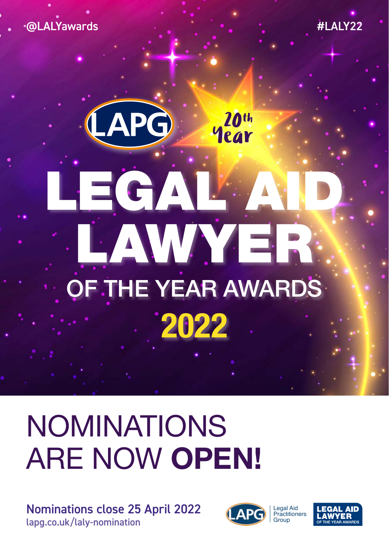@LALYawards #LALY22

# LAPG 20th Year LEGAL<sup>K</sup> LAWYER OF THE YEAR AWARDS **2022**

# NOMINATIONS ARE NOW **OPEN!**

Nominations close 25 April 2022 [lapg.co.uk/laly-nomination](http://lapg.co.uk/laly-nomination)



Legal Aid Practitioners Group

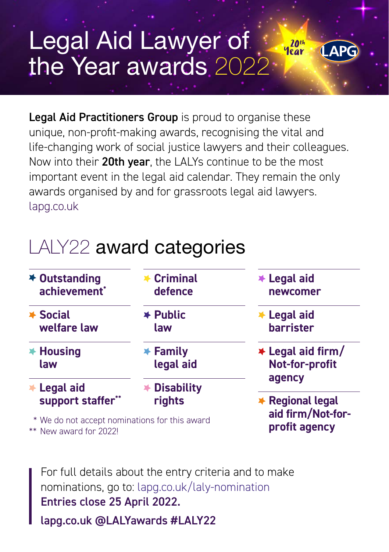## Legal Aid Lawyer of the Year awards 2022 10th<br><mark>Jear</mark>

Legal Aid Practitioners Group is proud to organise these unique, non-profit-making awards, recognising the vital and life-changing work of social justice lawyers and their colleagues. Now into their 20th year, the LALYs continue to be the most important event in the legal aid calendar. They remain the only awards organised by and for grassroots legal aid lawyers. [lapg.co.uk](http://lapg.co.uk)

# LALY22 award categories

| <b>≯ Outstanding</b>                          | $\triangle$ Criminal | $\ast$ Legal aid        |
|-----------------------------------------------|----------------------|-------------------------|
| achievement <sup>*</sup>                      | defence              | newcomer                |
| <b>★ Social</b>                               | * Public             | $\star$ Legal aid       |
| welfare law                                   | law                  | <b>barrister</b>        |
| * Housing                                     | $\ast$ Family        | $*$ Legal aid firm/     |
| law                                           | legal aid            | Not-for-profit          |
| <b>Legal aid</b>                              | <b>Disability</b>    | agency                  |
| support staffer**                             | rights               | <b>★ Regional legal</b> |
| * We do not accept nominations for this award |                      | aid firm/Not-for-       |
| $**$ Now qward for 2022                       |                      | profit agency           |

\*\* New award for 2022!

For full details about the entry criteria and to make nominations, go to: [lapg.co.uk/laly-nomination](http://lapg.co.uk/laly-nomination) Entries close 25 April 2022. [lapg.co.uk](http://lapg.co.uk) @LALYawards #LALY22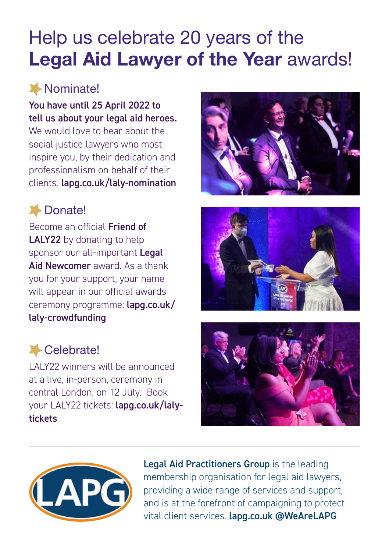# Help us celebrate 20 years of the **Legal Aid Lawyer of the Year** awards!

### **X** Nominate!

You have until 25 April 2022 to tell us about your legal aid heroes.

We would love to hear about the social justice lawyers who most inspire you, by their dedication and professionalism on behalf of their clients. [lapg.co.uk/laly-nomination](http://lapg.co.uk/laly-nomination)

## **Donate!**

Become an official Friend of LALY22 by donating to help sponsor our all-important Legal Aid Newcomer award. As a thank you for your support, your name will appear in our official awards ceremony programme: [lapg.co.uk/](http://lapg.co.uk/laly-crowdfunding) [laly-crowdfunding](http://lapg.co.uk/laly-crowdfunding)

## **X**-Celebrate!

LALY22 winners will be announced at a live, in-person, ceremony in central London, on 12 July. Book your LALY22 tickets: [lapg.co.uk/laly](http://lapg.co.uk/laly-tickets)[tickets](http://lapg.co.uk/laly-tickets)









Legal Aid Practitioners Group is the leading membership organisation for legal aid lawyers, providing a wide range of services and support, and is at the forefront of campaigning to protect vital client services. [lapg.co.uk](http://lapg.co.uk) @WeAreLAPG